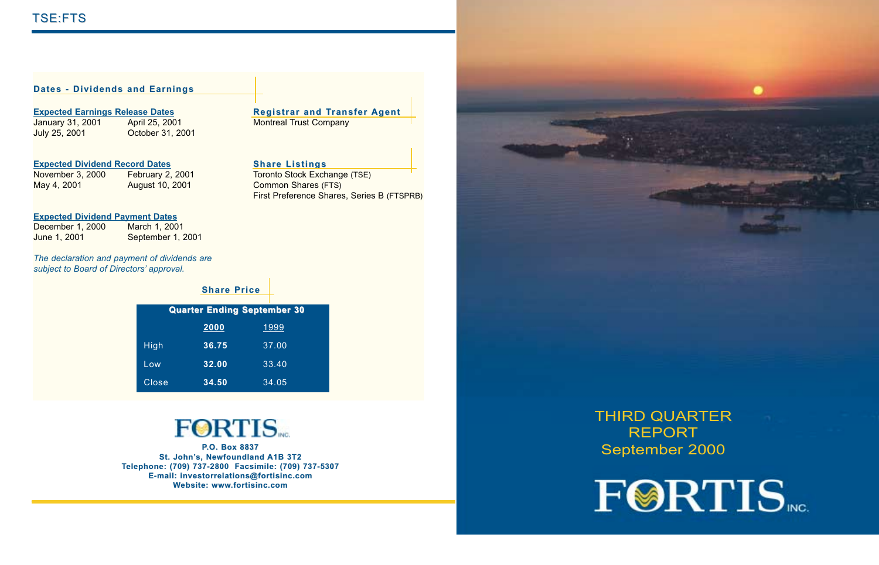### **Dates - Dividends and Earnings**

**Expected Earnings Release Dates**<br> **Registrar and Transfer Agent Company**<br> **Registrar and Transfer Agent Montreal Trust Company** 

January 31, 2001 – April 25, 2001 – Montreal Trust Company<br>July 25, 2001 – October 31, 2001 October 31, 2001

**Expected Dividend Record Dates Share Listings**

May 4, 2001 August 10, 2001 Common Shares (FTS)

Toronto Stock Exchange (TSE) First Preference Shares, Series B (FTSPRB)

#### **Expected Dividend Payment Dates**

| December 1, 2000 | March 1, 2001     |
|------------------|-------------------|
| June 1, 2001     | September 1, 2001 |

*The declaration and payment of dividends are subject to Board of Directors' approval.*

|       | <b>Share Price</b> |                                    |
|-------|--------------------|------------------------------------|
|       |                    | <b>Quarter Ending September 30</b> |
|       | 2000               | 1999                               |
| High  | 36.75              | 37.00                              |
| Low   | 32.00              | 33.40                              |
| Close | 34.50              | 34.05                              |

# **FORTIS**

**P.O. Box 8837 St. John's, Newfoundland A1B 3T2 Telephone: (709) 737-2800 Facsimile: (709) 737-5307 E-mail: investorrelations@fortisinc.com Website: www.fortisinc.com**



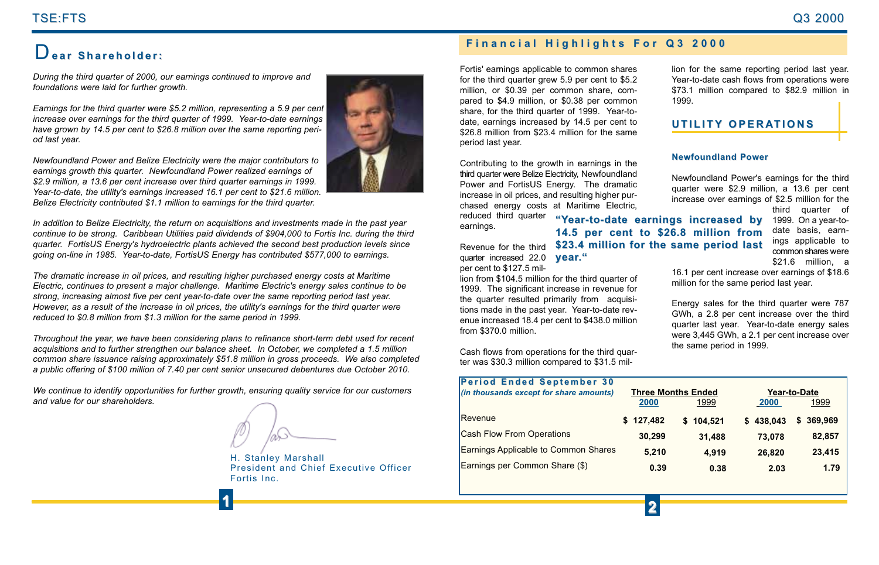# TSE:FTS TSE:FTS Q3 2000

*During the third quarter of 2000, our earnings continued to improve and foundations were laid for further growth.* 

*Earnings for the third quarter were \$5.2 million, representing a 5.9 per cent increase over earnings for the third quarter of 1999. Year-to-date earnings have grown by 14.5 per cent to \$26.8 million over the same reporting period last year.*

*Newfoundland Power and Belize Electricity were the major contributors to earnings growth this quarter. Newfoundland Power realized earnings of \$2.9 million, a 13.6 per cent increase over third quarter earnings in 1999. Year-to-date, the utility's earnings increased 16.1 per cent to \$21.6 million. Belize Electricity contributed \$1.1 million to earnings for the third quarter.* 



*In addition to Belize Electricity, the return on acquisitions and investments made in the past year continue to be strong. Caribbean Utilities paid dividends of \$904,000 to Fortis Inc. during the third quarter. FortisUS Energy's hydroelectric plants achieved the second best production levels since going on-line in 1985. Year-to-date, FortisUS Energy has contributed \$577,000 to earnings.*

*The dramatic increase in oil prices, and resulting higher purchased energy costs at Maritime Electric, continues to present a major challenge. Maritime Electric's energy sales continue to be strong, increasing almost five per cent year-to-date over the same reporting period last year. However, as a result of the increase in oil prices, the utility's earnings for the third quarter were reduced to \$0.8 million from \$1.3 million for the same period in 1999.* 

*Throughout the year, we have been considering plans to refinance short-term debt used for recent acquisitions and to further strengthen our balance sheet. In October, we completed a 1.5 million common share issuance raising approximately \$51.8 million in gross proceeds. We also completed a public offering of \$100 million of 7.40 per cent senior unsecured debentures due October 2010.*

*We continue to identify opportunities for further growth, ensuring quality service for our customers and value for our shareholders.*

H. Stanley Marshall President and Chief Executive Officer Fortis Inc.

# **Financial Highlights For Q3 2000 Financial Highlights For Q3 2000** D**ear Shareholder: ear Shareholder:**

Fortis' earnings applicable to common shares for the third quarter grew 5.9 per cent to \$5.2 million, or \$0.39 per common share, compared to \$4.9 million, or \$0.38 per common share, for the third quarter of 1999. Year-todate, earnings increased by 14.5 per cent to \$26.8 million from \$23.4 million for the same period last year.

Contributing to the growth in earnings in the third quarter were Belize Electricity, Newfoundland Power and FortisUS Energy. The dramatic increase in oil prices, and resulting higher purchased energy costs at Maritime Electric,

reduced third quarter **"Year-to-date earnings increased by ear-to-date earnings increased by** earnings.

Revenue for the third **\$23.4 million for the same period last \$23.4 million for the same period last** quarter increased 22.0 **year."** per cent to \$127.5 mil-

lion from \$104.5 million for the third quarter of 1999. The significant increase in revenue for the quarter resulted primarily from acquisitions made in the past year. Year-to-date revenue increased 18.4 per cent to \$438.0 million from \$370.0 million.

Cash flows from operations for the third quarter was \$30.3 million compared to \$31.5 million for the same reporting period last year. Year-to-date cash flows from operations were \$73.1 million compared to \$82.9 million in 1999.

## **UTILITY OPERATIONS**

#### **Newfoundland Power**

Newfoundland Power's earnings for the third quarter were \$2.9 million, a 13.6 per cent increase over earnings of \$2.5 million for the

third quarter of 1999. On a year-to date basis, earn ings applicable to common shares were \$21.6 million, a

16.1 per cent increase over earnings of \$18.6 million for the same period last year.<br>Energy sales for the third quarter were 787

GWh, a 2.8 per cent increase over the third quarter last year. Year-to-date energy sales were 3,445 GWh, a 2.1 per cent increase over the same period in 1999.

| <b>Period Ended September 30</b>            |           |                           |           |               |
|---------------------------------------------|-----------|---------------------------|-----------|---------------|
| (in thousands except for share amounts)     |           | <b>Three Months Ended</b> |           | Year-to-Date  |
|                                             | 2000      | 1999                      | 2000      | 1999          |
| Revenue                                     | \$127,482 | \$104,521                 | \$438,043 | 369.969<br>\$ |
| <b>Cash Flow From Operations</b>            | 30.299    | 31.488                    | 73,078    | 82,857        |
| <b>Earnings Applicable to Common Shares</b> | 5,210     | 4,919                     | 26,820    | 23,415        |
| Earnings per Common Share (\$)              | 0.39      | 0.38                      | 2.03      | 1.79          |
|                                             |           |                           |           |               |

**14.5 per cent to \$26.8 million from**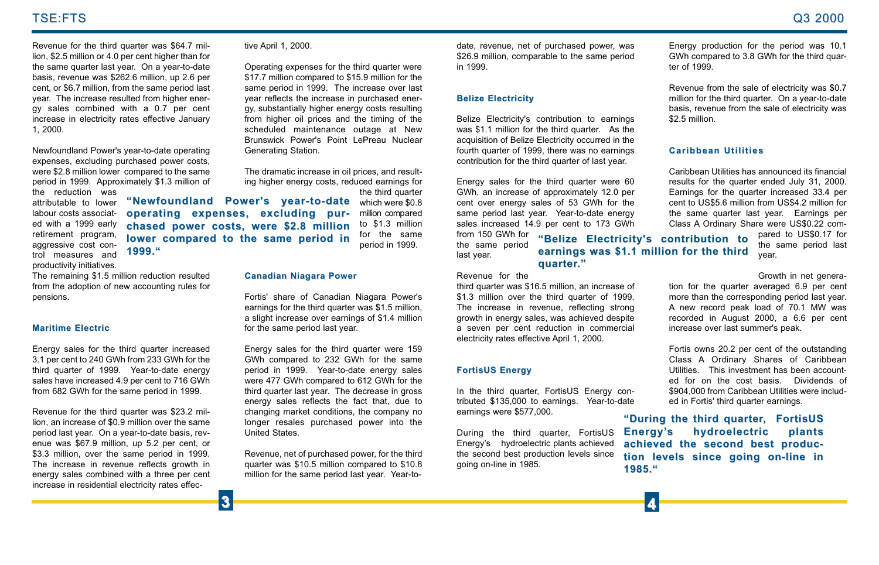Revenue for the third quarter was \$64.7 million, \$2.5 million or 4.0 per cent higher than for the same quarter last year. On a year-to-date basis, revenue was \$262.6 million, up 2.6 per cent, or \$6.7 million, from the same period last year. The increase resulted from higher energy sales combined with a 0.7 per cent increase in electricity rates effective January 1, 2000.

Newfoundland Power's year-to-date operating expenses, excluding purchased power costs, were \$2.8 million lower compared to the same period in 1999. Approximately \$1.3 million of the reduction was

attributable to lower labour costs associat- **operating expenses, excluding pur**ed with a 1999 early retirement program, aggressive cost control measures and productivity initiatives.

The remaining \$1.5 million reduction resulted from the adoption of new accounting rules for pensions.

**1999."**

#### **Maritime Electric**

Energy sales for the third quarter increased 3.1 per cent to 240 GWh from 233 GWh for the third quarter of 1999. Year-to-date energy sales have increased 4.9 per cent to 716 GWh from 682 GWh for the same period in 1999.

Revenue for the third quarter was \$23.2 million, an increase of \$0.9 million over the same period last year. On a year-to-date basis, revenue was \$67.9 million, up 5.2 per cent, or \$3.3 million, over the same period in 1999. The increase in revenue reflects growth in energy sales combined with a three per cent increase in residential electricity rates effec-

#### tive April 1, 2000.

Operating expenses for the third quarter were \$17.7 million compared to \$15.9 million for the same period in 1999. The increase over last year reflects the increase in purchased ener gy, substantially higher energy costs resulting from higher oil prices and the timing of the scheduled maintenance outage at New Brunswick Power's Point LePreau Nuclear Generating Station. eve And 1,2000.<br>
Superinte the histographs and the same period of purchased power, was Encompared to 3 compare the same period in the same period in the same period in the same of electricity for the particle of the same p

The dramatic increase in oil prices, and result ing higher energy costs, reduced earnings for the third quarter

which were \$0.8 **"Newfoundland Power's year-to-date "Newfoundland Power's year-to-date** million compared to \$1.3 million for the same period in 1999. **chased power costs, were \$2.8 million chased power costs, were \$2.8 million lower compared to the same period in lower compared to the same period in**

#### **Canadian Niagara Power**

Fortis' share of Canadian Niagara Power's earnings for the third quarter was \$1.5 million, a slight increase over earnings of \$1.4 million for the same period last year.

Energy sales for the third quarter were 159 GWh compared to 232 GWh for the same period in 1999. Year-to-date energy sales were 477 GWh compared to 612 GWh for the third quarter last year. The decrease in gross energy sales reflects the fact that, due to changing market conditions, the company no longer resales purchased power into the United States.

Revenue, net of purchased power, for the third quarter was \$10.5 million compared to \$10.8

**"Belize Electricity's contribution to "Belize Electricity's contribution to**

**quarter quarter."**

**"During the third quarter "During the third quarter, FortisUS Energy' Energy's hydroelectric plants s hydroelectric plants** achieved the second best produc**tion levels since going on-line in tion levels since going on-line in 1985."**

**earnings was \$1.1 million for the third earnings was \$1.1 million the third**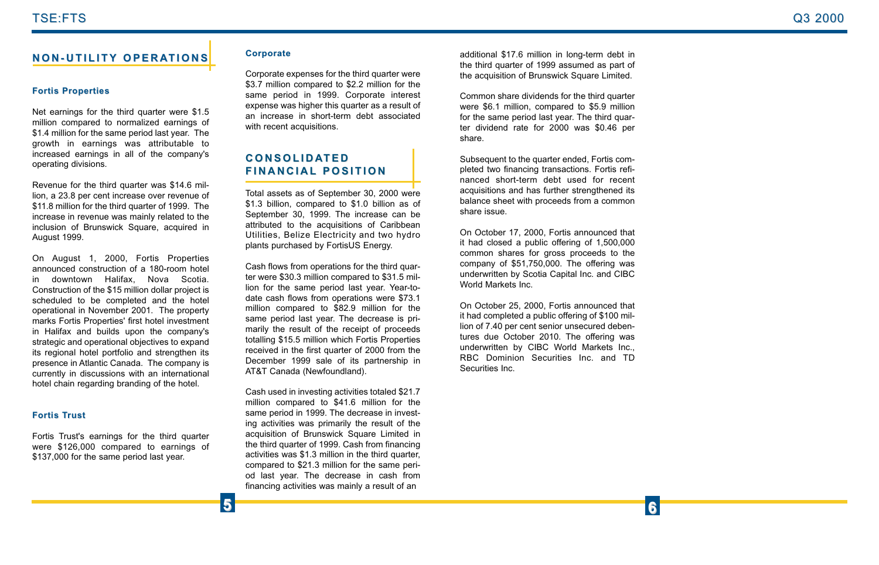# **NON-UTILITY OPERATIONS**

### **Fortis Properties**

Net earnings for the third quarter were \$1.5 million compared to normalized earnings of \$1.4 million for the same period last year. The growth in earnings was attributable to increased earnings in all of the company's operating divisions.

Revenue for the third quarter was \$14.6 million, a 23.8 per cent increase over revenue of \$11.8 million for the third quarter of 1999. The increase in revenue was mainly related to the inclusion of Brunswick Square, acquired in August 1999.

On August 1, 2000, Fortis Properties announced construction of a 180-room hotel in downtown Halifax, Nova Scotia. Construction of the \$15 million dollar project is scheduled to be completed and the hotel operational in November 2001. The property marks Fortis Properties' first hotel investment in Halifax and builds upon the company's strategic and operational objectives to expand its regional hotel portfolio and strengthen its presence in Atlantic Canada. The company is currently in discussions with an international hotel chain regarding branding of the hotel.

### **Fortis Trust**

Fortis Trust's earnings for the third quarter were \$126,000 compared to earnings of \$137,000 for the same period last year.

**5**

### **Corporate**

Corporate expenses for the third quarter were \$3.7 million compared to \$2.2 million for the same period in 1999. Corporate interest expense was higher this quarter as a result of an increase in short-term debt associated with recent acquisitions.

## **CONSOLIDATED FINANCIAL FINANCIAL POSITION**

Total assets as of September 30, 2000 were \$1.3 billion, compared to \$1.0 billion as of September 30, 1999. The increase can be attributed to the acquisitions of Caribbean Utilities, Belize Electricity and two hydro plants purchased by FortisUS Energy.

Cash flows from operations for the third quarter were \$30.3 million compared to \$31.5 million for the same period last year. Year-todate cash flows from operations were \$73.1 million compared to \$82.9 million for the same period last year. The decrease is primarily the result of the receipt of proceeds totalling \$15.5 million which Fortis Properties received in the first quarter of 2000 from the December 1999 sale of its partnership in AT&T Canada (Newfoundland).

Cash used in investing activities totaled \$21.7 million compared to \$41.6 million for the same period in 1999. The decrease in investing activities was primarily the result of the acquisition of Brunswick Square Limited in the third quarter of 1999. Cash from financing activities was \$1.3 million in the third quarter, compared to \$21.3 million for the same period last year. The decrease in cash from financing activities was mainly a result of an

additional \$17.6 million in long-term debt in the third quarter of 1999 assumed as part of the acquisition of Brunswick Square Limited.

Common share dividends for the third quarter were \$6.1 million, compared to \$5.9 million for the same period last year. The third quarter dividend rate for 2000 was \$0.46 per share.

Subsequent to the quarter ended, Fortis completed two financing transactions. Fortis refinanced short-term debt used for recent acquisitions and has further strengthened its balance sheet with proceeds from a common share issue.

On October 17, 2000, Fortis announced that it had closed a public offering of 1,500,000 common shares for gross proceeds to the company of \$51,750,000. The offering was underwritten by Scotia Capital Inc. and CIBC World Markets Inc.

On October 25, 2000, Fortis announced that it had completed a public offering of \$100 million of 7.40 per cent senior unsecured debentures due October 2010. The offering was underwritten by CIBC World Markets Inc., RBC Dominion Securities Inc. and TD Securities Inc.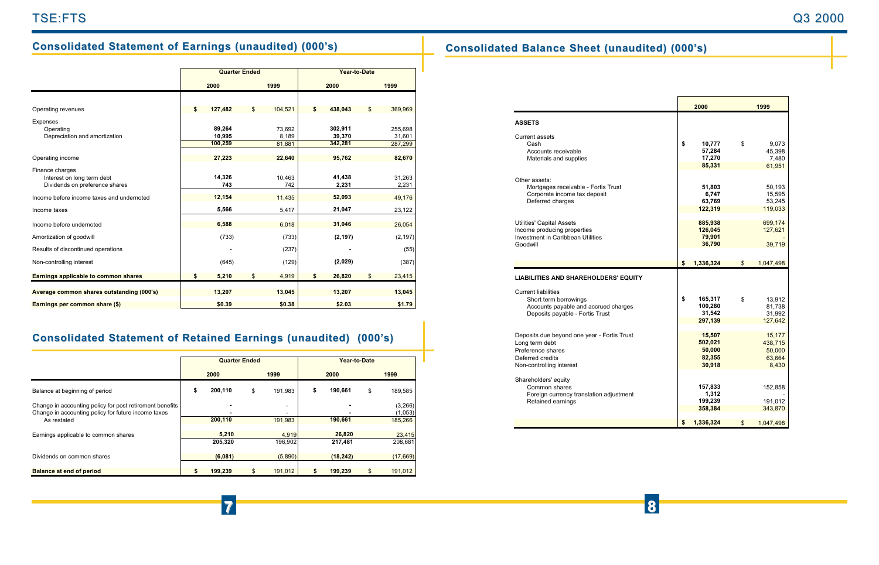# **Consolidated Statement of Earnings (unaudited) (000's) Consolidated Balance Sheet (unaudited) (000's)**

|                                           | <b>Quarter Ended</b> |         |    |         |    |          |    |          |
|-------------------------------------------|----------------------|---------|----|---------|----|----------|----|----------|
|                                           |                      | 2000    |    | 1999    |    | 2000     |    | 1999     |
|                                           |                      |         |    |         |    |          |    |          |
| Operating revenues                        | \$                   | 127,482 | \$ | 104,521 | \$ | 438,043  | \$ | 369,969  |
| Expenses                                  |                      |         |    |         |    |          |    |          |
| Operating                                 |                      | 89.264  |    | 73,692  |    | 302.911  |    | 255,698  |
| Depreciation and amortization             |                      | 10,995  |    | 8,189   |    | 39,370   |    | 31,601   |
|                                           |                      | 100,259 |    | 81,881  |    | 342,281  |    | 287,299  |
| Operating income                          |                      | 27,223  |    | 22,640  |    | 95,762   |    | 82,670   |
| Finance charges                           |                      |         |    |         |    |          |    |          |
| Interest on long term debt                |                      | 14,326  |    | 10,463  |    | 41,438   |    | 31,263   |
| Dividends on preference shares            |                      | 743     |    | 742     |    | 2,231    |    | 2,231    |
| Income before income taxes and undernoted |                      | 12,154  |    | 11,435  |    | 52,093   |    | 49,176   |
| Income taxes                              |                      | 5,566   |    | 5,417   |    | 21,047   |    | 23,122   |
| Income before undernoted                  |                      | 6,588   |    | 6,018   |    | 31,046   |    | 26,054   |
| Amortization of goodwill                  |                      | (733)   |    | (733)   |    | (2, 197) |    | (2, 197) |
| Results of discontinued operations        |                      |         |    | (237)   |    |          |    | (55)     |
| Non-controlling interest                  |                      | (645)   |    | (129)   |    | (2,029)  |    | (387)    |
| Earnings applicable to common shares      | \$                   | 5,210   | \$ | 4,919   | \$ | 26,820   | \$ | 23,415   |
| Average common shares outstanding (000's) |                      | 13,207  |    | 13,045  |    | 13,207   |    | 13,045   |
|                                           |                      |         |    |         |    |          |    |          |
| Earnings per common share (\$)            |                      | \$0.39  |    | \$0.38  |    | \$2.03   |    | \$1.79   |

# **Consolidated Statement of Retained Earnings (unaudited) (000's)**

|                                                                                                                                | <b>Quarter Ended</b> |                  |    |                   | Year-to-Date |                   |    |                               |
|--------------------------------------------------------------------------------------------------------------------------------|----------------------|------------------|----|-------------------|--------------|-------------------|----|-------------------------------|
|                                                                                                                                | 2000                 |                  |    | 1999              |              | 2000              |    | 1999                          |
| Balance at beginning of period                                                                                                 | \$                   | 200,110          | \$ | 191.983           | \$           | 190.661           | \$ | 189,585                       |
| Change in accounting policy for post retirement benefits<br>Change in accounting policy for future income taxes<br>As restated |                      | ٠<br>200,110     |    | -<br>-<br>191,983 |              | -<br>190,661      |    | (3,266)<br>(1,053)<br>185,266 |
| Earnings applicable to common shares                                                                                           |                      | 5,210<br>205.320 |    | 4,919<br>196.902  |              | 26,820<br>217,481 |    | 23,415<br>208,681             |
| Dividends on common shares                                                                                                     |                      | (6,081)          |    | (5,890)           |              | (18, 242)         |    | (17,669)                      |
| <b>Balance at end of period</b>                                                                                                |                      | 199.239          |    | 191,012           | S            | 199,239           |    | 191,012                       |

**7 8**

|                                                      | 2000             | 1999            |
|------------------------------------------------------|------------------|-----------------|
| <b>ASSETS</b>                                        |                  |                 |
| Current assets                                       |                  |                 |
| Cash                                                 | \$<br>10,777     | \$<br>9,073     |
| Accounts receivable<br>Materials and supplies        | 57,284<br>17,270 | 45,398<br>7,480 |
|                                                      | 85,331           | 61,951          |
|                                                      |                  |                 |
| Other assets:<br>Mortgages receivable - Fortis Trust | 51,803           | 50,193          |
| Corporate income tax deposit                         | 6,747            | 15,595          |
| Deferred charges                                     | 63,769           | 53,245          |
|                                                      | 122,319          | 119,033         |
| <b>Utilities' Capital Assets</b>                     | 885,938          | 699,174         |
| Income producing properties                          | 126,045          | 127,621         |
| Investment in Caribbean Utilities                    | 79,901           |                 |
| Goodwill                                             | 36,790           | 39,719          |
|                                                      |                  |                 |
|                                                      | \$<br>1,336,324  | \$<br>1,047,498 |
| <b>LIABILITIES AND SHAREHOLDERS' EQUITY</b>          |                  |                 |
| <b>Current liabilities</b>                           |                  |                 |
| Short term borrowings                                | \$<br>165,317    | \$<br>13,912    |
| Accounts payable and accrued charges                 | 100,280          | 81,738          |
| Deposits payable - Fortis Trust                      | 31,542           | 31,992          |
|                                                      | 297,139          | 127,642         |
| Deposits due beyond one year - Fortis Trust          | 15,507           | 15,177          |
| Long term debt                                       | 502,021          | 438,715         |
| Preference shares                                    | 50,000           | 50,000          |
| Deferred credits                                     | 82,355           | 63,664          |
| Non-controlling interest                             | 30,918           | 8.430           |
| Shareholders' equity                                 |                  |                 |
| Common shares                                        | 157,833          | 152,858         |
| Foreign currency translation adjustment              | 1,312            |                 |
| Retained earnings                                    | 199,239          | 191,012         |
|                                                      | 358,384          | 343,870         |
|                                                      | \$<br>1.336.324  | \$<br>1,047,498 |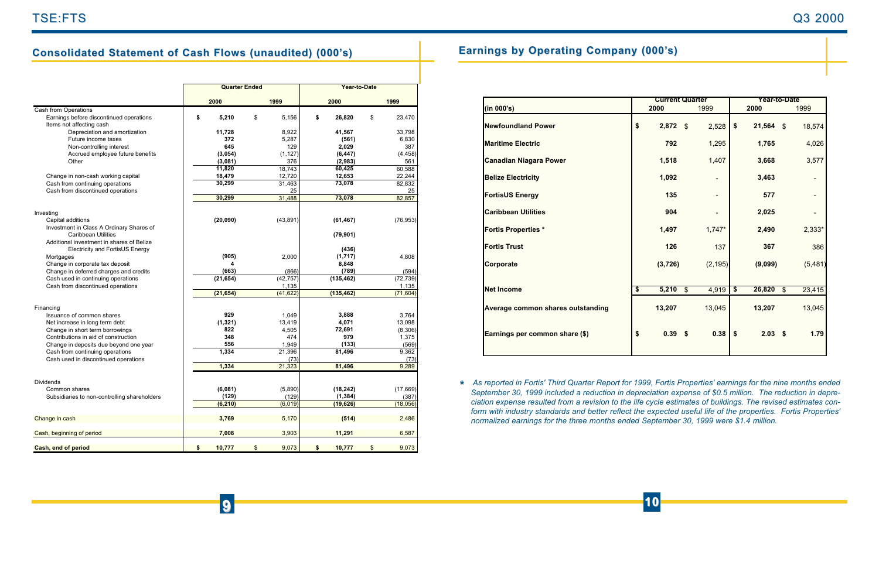# **Consolidated Statement of Cash Flows (unaudited) (000's)**

|                                                                        | <b>Quarter Ended</b> |    | Year-to-Date |    |            |    |           |
|------------------------------------------------------------------------|----------------------|----|--------------|----|------------|----|-----------|
|                                                                        | 2000                 |    | 1999         |    | 2000       |    | 1999      |
| <b>Cash from Operations</b>                                            |                      |    |              |    |            |    |           |
| Earnings before discontinued operations                                | \$<br>5,210          | \$ | 5.156        | \$ | 26,820     | \$ | 23,470    |
| Items not affecting cash                                               |                      |    |              |    |            |    |           |
| Depreciation and amortization                                          | 11,728               |    | 8,922        |    | 41,567     |    | 33,798    |
| Future income taxes                                                    | 372                  |    | 5,287        |    | (561)      |    | 6,830     |
| Non-controlling interest                                               | 645                  |    | 129          |    | 2,029      |    | 387       |
| Accrued employee future benefits                                       | (3,054)              |    | (1, 127)     |    | (6, 447)   |    | (4, 458)  |
| Other                                                                  | (3,081)              |    | 376          |    | (2,983)    |    | 561       |
|                                                                        | 11,820               |    | 18,743       |    | 60,425     |    | 60,588    |
| Change in non-cash working capital                                     | 18,479               |    | 12,720       |    | 12,653     |    | 22,244    |
| Cash from continuing operations                                        | 30,299               |    | 31.463       |    | 73,078     |    | 82.832    |
| Cash from discontinued operations                                      |                      |    | 25           |    |            |    | 25        |
|                                                                        | 30,299               |    | 31,488       |    | 73,078     |    | 82.857    |
|                                                                        |                      |    |              |    |            |    |           |
| Investing                                                              |                      |    |              |    |            |    | (76, 953) |
| Capital additions                                                      | (20, 090)            |    | (43, 891)    |    | (61, 467)  |    |           |
| Investment in Class A Ordinary Shares of<br><b>Caribbean Utilities</b> |                      |    |              |    | (79, 901)  |    |           |
| Additional investment in shares of Belize                              |                      |    |              |    |            |    |           |
| Electricity and FortisUS Energy                                        |                      |    |              |    | (436)      |    |           |
| Mortgages                                                              | (905)                |    | 2,000        |    | (1,717)    |    | 4,808     |
| Change in corporate tax deposit                                        |                      |    |              |    | 8,848      |    |           |
| Change in deferred charges and credits                                 | (663)                |    | (866)        |    | (789)      |    | (594)     |
| Cash used in continuing operations                                     | (21, 654)            |    | (42, 757)    |    | (135, 462) |    | (72, 739) |
| Cash from discontinued operations                                      |                      |    | 1.135        |    |            |    | 1,135     |
|                                                                        | (21, 654)            |    | (41, 622)    |    | (135, 462) |    | (71, 604) |
|                                                                        |                      |    |              |    |            |    |           |
| Financing                                                              |                      |    |              |    |            |    |           |
| Issuance of common shares                                              | 929                  |    | 1,049        |    | 3,888      |    | 3,764     |
| Net increase in long term debt                                         | (1, 321)             |    | 13,419       |    | 4,071      |    | 13,098    |
| Change in short term borrowings                                        | 822                  |    | 4,505        |    | 72,691     |    | (8,306)   |
| Contributions in aid of construction                                   | 348                  |    | 474          |    | 979        |    | 1,375     |
| Change in deposits due beyond one year                                 | 556                  |    | 1,949        |    | (133)      |    | (569)     |
| Cash from continuing operations                                        | 1,334                |    | 21,396       |    | 81,496     |    | 9,362     |
| Cash used in discontinued operations                                   |                      |    | (73)         |    |            |    | (73)      |
|                                                                        | 1,334                |    | 21,323       |    | 81,496     |    | 9,289     |
|                                                                        |                      |    |              |    |            |    |           |
| <b>Dividends</b>                                                       |                      |    |              |    |            |    |           |
| Common shares                                                          | (6,081)              |    | (5,890)      |    | (18, 242)  |    | (17, 669) |
| Subsidiaries to non-controlling shareholders                           | (129)<br>(6, 210)    |    | (129)        |    | (1, 384)   |    | (387)     |
|                                                                        |                      |    | (6,019)      |    | (19, 626)  |    | (18,056)  |
|                                                                        | 3,769                |    | 5,170        |    | (514)      |    | 2,486     |
| Change in cash                                                         |                      |    |              |    |            |    |           |
| Cash, beginning of period                                              | 7,008                |    | 3,903        |    | 11,291     |    | 6,587     |
|                                                                        |                      |    |              |    |            |    |           |
| Cash, end of period                                                    | \$<br>10,777         | \$ | 9,073        | \$ | 10,777     | \$ | 9,073     |

# **Earnings by Operating Company (000' Earnings by Operating Company (000's)**

|                                   | <b>Current Quarter</b> |            |  | <b>Year-to-Date</b> |                      |             |                |          |
|-----------------------------------|------------------------|------------|--|---------------------|----------------------|-------------|----------------|----------|
| (in 000's)                        |                        | 2000       |  | 1999                |                      | 2000        |                | 1999     |
| <b>Newfoundland Power</b>         | \$                     | $2,872$ \$ |  | 2,528               | \$                   | $21,564$ \$ |                | 18,574   |
| <b>Maritime Electric</b>          |                        | 792        |  | 1,295               |                      | 1,765       |                | 4,026    |
| <b>Canadian Niagara Power</b>     |                        | 1,518      |  | 1,407               |                      | 3,668       |                | 3,577    |
| <b>Belize Electricity</b>         |                        | 1,092      |  |                     |                      | 3,463       |                |          |
| <b>FortisUS Energy</b>            |                        | 135        |  |                     |                      | 577         |                |          |
| <b>Caribbean Utilities</b>        |                        | 904        |  |                     |                      | 2,025       |                |          |
| <b>Fortis Properties *</b>        |                        | 1,497      |  | $1,747*$            |                      | 2,490       |                | 2,333*   |
| <b>Fortis Trust</b>               |                        | 126        |  | 137                 |                      | 367         |                | 386      |
| Corporate                         |                        | (3,726)    |  | (2, 195)            |                      | (9,099)     |                | (5, 481) |
|                                   |                        |            |  |                     |                      |             |                |          |
| <b>Net Income</b>                 | \$                     | $5,210$ \$ |  | 4,919               | $\overline{\bullet}$ | 26,820      | $\mathfrak{s}$ | 23,415   |
| Average common shares outstanding |                        | 13,207     |  | 13,045              |                      | 13,207      |                | 13,045   |
| Earnings per common share (\$)    | \$                     | 0.39S      |  | 0.38                | \$                   | $2.03$ \$   |                | 1.79     |
|                                   |                        |            |  |                     |                      |             |                |          |

*As reported in Fortis' Third Quarter Report for 1999, Fortis Properties' earnings for the nine months ended*  **\****September 30, 1999 included a reduction in depreciation expense of \$0.5 million. The reduction in depreciation expense resulted from a revision to the life cycle estimates of buildings. The revised estimates conform with industry standards and better reflect the expected useful life of the properties. Fortis Properties' normalized earnings for the three months ended September 30, 1999 were \$1.4 million.*